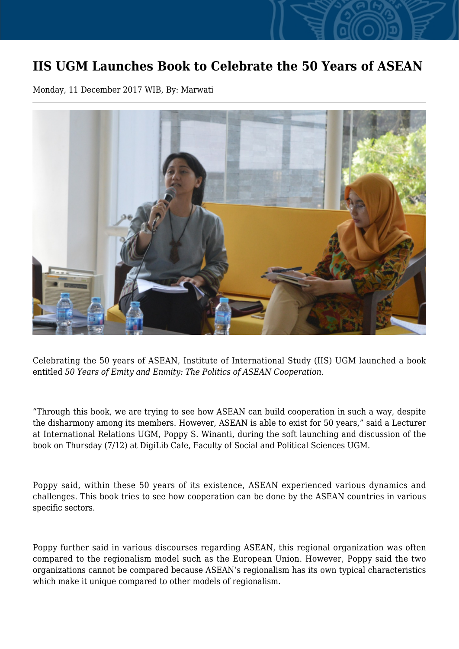## **IIS UGM Launches Book to Celebrate the 50 Years of ASEAN**

Monday, 11 December 2017 WIB, By: Marwati



Celebrating the 50 years of ASEAN, Institute of International Study (IIS) UGM launched a book entitled *50 Years of Emity and Enmity: The Politics of ASEAN Cooperation.*

"Through this book, we are trying to see how ASEAN can build cooperation in such a way, despite the disharmony among its members. However, ASEAN is able to exist for 50 years," said a Lecturer at International Relations UGM, Poppy S. Winanti, during the soft launching and discussion of the book on Thursday (7/12) at DigiLib Cafe, Faculty of Social and Political Sciences UGM.

Poppy said, within these 50 years of its existence, ASEAN experienced various dynamics and challenges. This book tries to see how cooperation can be done by the ASEAN countries in various specific sectors.

Poppy further said in various discourses regarding ASEAN, this regional organization was often compared to the regionalism model such as the European Union. However, Poppy said the two organizations cannot be compared because ASEAN's regionalism has its own typical characteristics which make it unique compared to other models of regionalism.